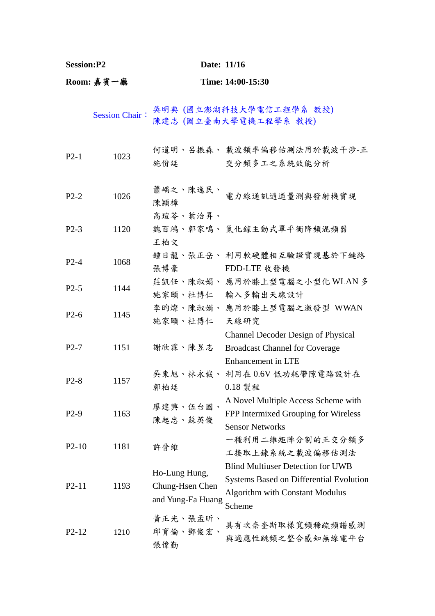| <b>Session:P2</b> |                       | Date: 11/16                                           |                                                                                                                                         |
|-------------------|-----------------------|-------------------------------------------------------|-----------------------------------------------------------------------------------------------------------------------------------------|
| Room: 嘉賓一廳        |                       |                                                       | Time: 14:00-15:30                                                                                                                       |
|                   | <b>Session Chair:</b> |                                                       | 吳明典 (國立澎湖科技大學電信工程學系 教授)<br>陳建志 (國立臺南大學電機工程學系 教授)                                                                                        |
| $P2-1$            | 1023                  | 施佾廷                                                   | 何道明、呂振森、 載波頻率偏移估測法用於載波干涉-正<br>交分頻多工之系統效能分析                                                                                              |
| $P2-2$            | 1026                  | 蕭嵎之、陳逸民、<br>陳頴樟                                       | 電力線通訊通道量測與發射機實現                                                                                                                         |
| $P2-3$            | 1120                  | 高瑄苓、葉治昇、<br>王柏文                                       | 魏百鴻、郭家鳴、氮化鎵主動式單平衡降頻混頻器                                                                                                                  |
| $P2-4$            | 1068                  | 張博豪                                                   | 鍾日龍、張正岳、 利用軟硬體相互驗證實現基於下鏈路<br>FDD-LTE 收發機                                                                                                |
| $P2-5$            | 1144                  |                                                       | 莊凱任、陳淑娟、 應用於膝上型電腦之小型化 WLAN 多<br>施家頤、杜博仁 輸入多輸出天線設計                                                                                       |
| $P2-6$            | 1145                  | 施家頤、杜博仁 天線研究                                          | 李昀燦、陳淑娟、 應用於膝上型電腦之激發型 WWAN                                                                                                              |
| $P2-7$            | 1151                  | 謝欣霖、陳昱志                                               | Channel Decoder Design of Physical<br><b>Broadcast Channel for Coverage</b><br><b>Enhancement</b> in LTE                                |
| $P2-8$            | 1157                  | 郭柏廷 0.18 製程                                           | 吳東旭、林永裁、 利用在 0.6V 低功耗帶隙電路設計在                                                                                                            |
| $P2-9$            | 1163                  | 廖建興、伍台國、<br>陳起忠、蘇英俊                                   | A Novel Multiple Access Scheme with<br>FPP Intermixed Grouping for Wireless<br><b>Sensor Networks</b>                                   |
| $P2-10$           | 1181                  | 許晉維                                                   | 一種利用二維矩陣分割的正交分頻多<br>工接取上鍊系統之載波偏移估測法                                                                                                     |
| $P2-11$           | 1193                  | Ho-Lung Hung,<br>Chung-Hsen Chen<br>and Yung-Fa Huang | <b>Blind Multiuser Detection for UWB</b><br>Systems Based on Differential Evolution<br><b>Algorithm with Constant Modulus</b><br>Scheme |
| $P2-12$           | 1210                  | 黃正光、張孟昕、<br>邱育倫、鄧俊宏、<br>張偉勤                           | 具有次奈奎斯取樣寬頻稀疏頻譜感測<br>與適應性跳頻之整合感知無線電平台                                                                                                    |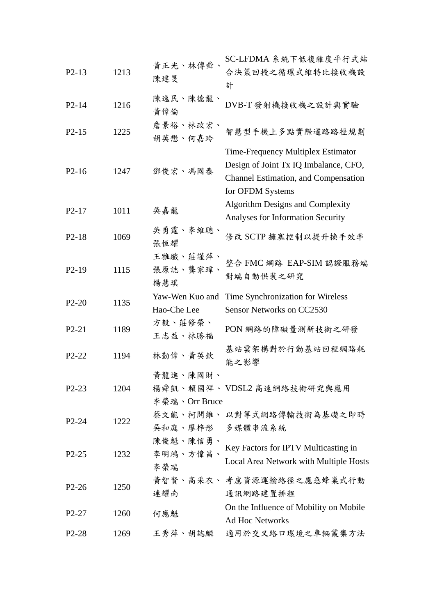| $P2-13$            | 1213 | 黄正光、林傳舜<br>陳建旻                 | SC-LFDMA 系統下低複雜度平行式結<br>合決策回授之循環式維特比接收機設<br>計                                                                                                  |
|--------------------|------|--------------------------------|------------------------------------------------------------------------------------------------------------------------------------------------|
| $P2 - 14$          | 1216 | 陳逸民、陳德龍、<br>黄偉倫                | DVB-T 發射機接收機之設計與實驗                                                                                                                             |
| $P2-15$            | 1225 | 詹景裕、林政宏、<br>胡英懋、何嘉玲            | 智慧型手機上多點實際道路路徑規劃                                                                                                                               |
| $P2-16$            | 1247 | 鄧俊宏、馮國泰                        | Time-Frequency Multiplex Estimator<br>Design of Joint Tx IQ Imbalance, CFO,<br><b>Channel Estimation, and Compensation</b><br>for OFDM Systems |
| $P2-17$            | 1011 | 吳嘉龍                            | <b>Algorithm Designs and Complexity</b><br>Analyses for Information Security                                                                   |
| $P2-18$            | 1069 | 吳勇霆、李維聰、<br>張恆耀                | 修改 SCTP 擁塞控制以提升換手效率                                                                                                                            |
| $P2-19$            | 1115 | 王雅纖、莊謹萍、<br>張原誌、龔家瑋、<br>楊慧琪    | 整合 FMC 網路 EAP-SIM 認證服務端<br>對端自動供裝之研究                                                                                                           |
| $P2-20$            | 1135 | Yaw-Wen Kuo and<br>Hao-Che Lee | Time Synchronization for Wireless<br>Sensor Networks on CC2530                                                                                 |
| $P2-21$            | 1189 | 方毅、莊修榮、<br>王志益、林勝福             | PON 網路的障礙量測新技術之研發                                                                                                                              |
| P <sub>2</sub> -22 | 1194 | 林勤偉、黃英欽                        | 基站雲架構對於行動基站回程網路耗<br>能之影響                                                                                                                       |
| P <sub>2</sub> -23 | 1204 | 黃龍進、陳國財、<br>李榮瑞、Orr Bruce      | 楊舜凱、賴國祥、VDSL2 高速網路技術研究與應用                                                                                                                      |
| $P2-24$            | 1222 | 吳和庭、廖梓彤 多媒體串流系統                | 蔡文能、柯開維、以對等式網路傳輸技術為基礎之即時                                                                                                                       |
| $P2-25$            | 1232 | 陳俊魁、陳信勇、<br>李明鴻、方偉昌、<br>李榮瑞    | Key Factors for IPTV Multicasting in<br>Local Area Network with Multiple Hosts                                                                 |
| $P2-26$            | 1250 | 連耀南                            | 黄智賢、高采衣、 考慮資源運輸路徑之應急蜂巢式行動<br>通訊網路建置排程                                                                                                          |
| $P2-27$            | 1260 | 何應魁                            | On the Influence of Mobility on Mobile<br><b>Ad Hoc Networks</b>                                                                               |
| P <sub>2</sub> -28 | 1269 | 王秀萍、胡誌麟                        | 適用於交叉路口環境之車輛叢集方法                                                                                                                               |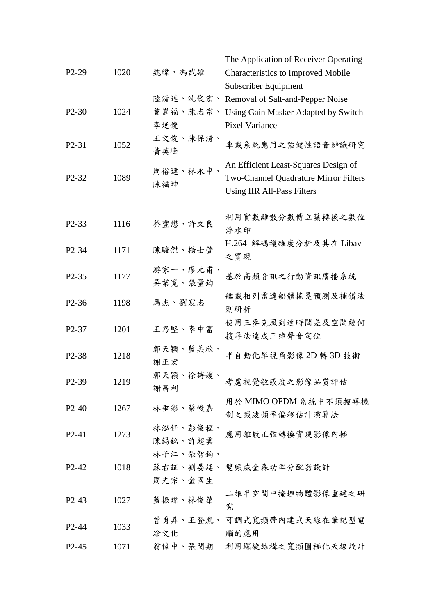|                                |      |                     | The Application of Receiver Operating                                                                              |
|--------------------------------|------|---------------------|--------------------------------------------------------------------------------------------------------------------|
| $P2-29$                        | 1020 | 魏暐、馮武雄              | Characteristics to Improved Mobile                                                                                 |
|                                |      |                     | Subscriber Equipment                                                                                               |
|                                |      |                     | 陸清達、沈俊宏、 Removal of Salt-and-Pepper Noise                                                                          |
| $P2-30$                        | 1024 |                     | 曾崑福、陳志宗、 Using Gain Masker Adapted by Switch                                                                       |
|                                |      | 李延俊                 | <b>Pixel Variance</b>                                                                                              |
| P <sub>2</sub> -31             | 1052 | 王文俊、陳保清、<br>黃英峰     | 車載系統應用之強健性語音辨識研究                                                                                                   |
| P <sub>2</sub> -3 <sub>2</sub> | 1089 | 周裕達、林永申、<br>陳福坤     | An Efficient Least-Squares Design of<br>Two-Channel Quadrature Mirror Filters<br><b>Using IIR All-Pass Filters</b> |
| P <sub>2</sub> -33             | 1116 | 蔡豐懋、許文良             | 利用實數離散分數傅立葉轉換之數位<br>浮水印                                                                                            |
| P <sub>2</sub> -34             | 1171 | 陳駿傑、楊士萱             | H.264 解碼複雜度分析及其在 Libav<br>之實現                                                                                      |
| P <sub>2</sub> -35             | 1177 | 游家一、廖元甫、<br>吳業寬、張量鈞 | 基於高頻音訊之行動資訊廣播系統                                                                                                    |
| P <sub>2</sub> -36             | 1198 | 馬杰、劉宸志              | 艦載相列雷達船體搖晃預測及補償法<br>則研析                                                                                            |
| P <sub>2</sub> -37             | 1201 | 王乃堅、李中富             | 使用三麥克風到達時間差及空間幾何<br>搜尋法達成三維聲音定位                                                                                    |
| P <sub>2</sub> -38             | 1218 | 郭天穎、藍美欣、<br>謝正宏     | 半自動化單視角影像 2D轉 3D 技術                                                                                                |
| P <sub>2</sub> -39             | 1219 | 郭天穎、徐詩媛、<br>謝昌利     | 考慮視覺敏感度之影像品質評估                                                                                                     |
| $P2-40$                        | 1267 | 林垂彩、蔡峻嘉             | 用於 MIMO OFDM 系統中不須搜尋機                                                                                              |
|                                |      |                     | 制之載波頻率偏移估計演算法                                                                                                      |
| $P2-41$                        | 1273 | 林泓任、彭俊程、<br>陳錫銘、許超雲 | 應用離散正弦轉換實現影像內插                                                                                                     |
|                                |      | 林子江、張智鈞、            |                                                                                                                    |
| $P2-42$                        | 1018 |                     | 蘇右証、劉晏廷、 雙頻威金森功率分配器設計                                                                                              |
|                                |      | 周光宗、金國生             |                                                                                                                    |
| $P2-43$                        | 1027 | 藍振瑋、林俊華             | 二維半空間中掩埋物體影像重建之研<br>究                                                                                              |
| $P2 - 44$                      | 1033 | 涂文化                 | 曾勇昇、王登胤、可調式寬頻帶內建式天線在筆記型電<br>腦的應用                                                                                   |
| P <sub>2</sub> -45             | 1071 | 翁偉中、張閔期             | 利用螺旋結構之寬頻圓極化天線設計                                                                                                   |